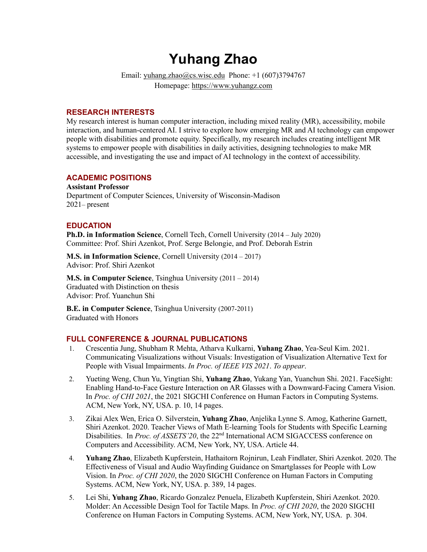# **Yuhang Zhao**

Email: yuhang.zhao $@cs.wisc.edu$  Phone: +1 (607)3794767 Homepage: https://www.yuhangz.com

#### **RESEARCH INTERESTS**

My research interest is human computer interaction, including mixed reality (MR), accessibility, mobile interaction, and human-centered AI. I strive to explore how emerging MR and AI technology can empower people with disabilities and promote equity. Specifically, my research includes creating intelligent MR systems to empower people with disabilities in daily activities, designing technologies to make MR accessible, and investigating the use and impact of AI technology in the context of accessibility.

#### **ACADEMIC POSITIONS**

**Assistant Professor** Department of Computer Sciences, University of Wisconsin-Madison 2021– present

#### **EDUCATION**

**Ph.D. in Information Science**, Cornell Tech, Cornell University (2014 – July 2020) Committee: Prof. Shiri Azenkot, Prof. Serge Belongie, and Prof. Deborah Estrin

**M.S. in Information Science**, Cornell University (2014 – 2017) Advisor: Prof. Shiri Azenkot

**M.S. in Computer Science**, Tsinghua University (2011 – 2014) Graduated with Distinction on thesis Advisor: Prof. Yuanchun Shi

**B.E. in Computer Science**, Tsinghua University (2007-2011) Graduated with Honors

#### **FULL CONFERENCE & JOURNAL PUBLICATIONS**

- 1. Crescentia Jung, Shubham R Mehta, Atharva Kulkarni, **Yuhang Zhao**, Yea-Seul Kim. 2021. Communicating Visualizations without Visuals: Investigation of Visualization Alternative Text for People with Visual Impairments. *In Proc. of IEEE VIS 2021*. *To appear*.
- 2. Yueting Weng, Chun Yu, Yingtian Shi, **Yuhang Zhao**, Yukang Yan, Yuanchun Shi. 2021. FaceSight: Enabling Hand-to-Face Gesture Interaction on AR Glasses with a Downward-Facing Camera Vision. In *Proc. of CHI 2021*, the 2021 SIGCHI Conference on Human Factors in Computing Systems. ACM, New York, NY, USA. p. 10, 14 pages.
- 3. Zikai Alex Wen, Erica O. Silverstein, **Yuhang Zhao**, Anjelika Lynne S. Amog, Katherine Garnett, Shiri Azenkot. 2020. Teacher Views of Math E-learning Tools for Students with Specific Learning Disabilities. In *Proc. of ASSETS'20*, the 22<sup>nd</sup> International ACM SIGACCESS conference on Computers and Accessibility. ACM, New York, NY, USA. Article 44.
- 4. **Yuhang Zhao**, Elizabeth Kupferstein, Hathaitorn Rojnirun, Leah Findlater, Shiri Azenkot. 2020. The Effectiveness of Visual and Audio Wayfinding Guidance on Smartglasses for People with Low Vision. In *Proc. of CHI 2020*, the 2020 SIGCHI Conference on Human Factors in Computing Systems. ACM, New York, NY, USA. p. 389, 14 pages.
- 5. Lei Shi, **Yuhang Zhao**, Ricardo Gonzalez Penuela, Elizabeth Kupferstein, Shiri Azenkot. 2020. Molder: An Accessible Design Tool for Tactile Maps. In *Proc. of CHI 2020*, the 2020 SIGCHI Conference on Human Factors in Computing Systems. ACM, New York, NY, USA. p. 304.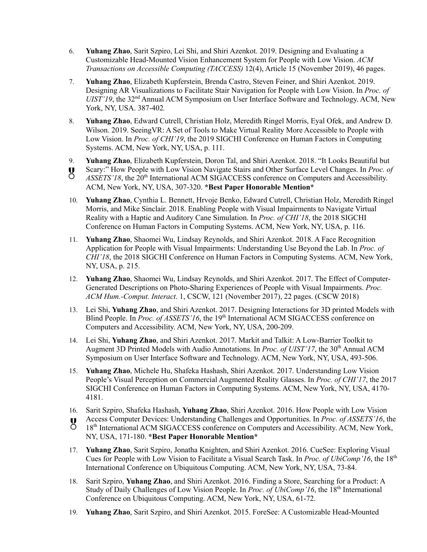- 6. **Yuhang Zhao**, Sarit Szpiro, Lei Shi, and Shiri Azenkot. 2019. Designing and Evaluating a Customizable Head-Mounted Vision Enhancement System for People with Low Vision. *ACM Transactions on Accessible Computing (TACCESS)* 12(4), Article 15 (November 2019), 46 pages.
- 7. **Yuhang Zhao**, Elizabeth Kupferstein, Brenda Castro, Steven Feiner, and Shiri Azenkot. 2019. Designing AR Visualizations to Facilitate Stair Navigation for People with Low Vision. In *Proc. of UIST'19*, the 32<sup>nd</sup> Annual ACM Symposium on User Interface Software and Technology. ACM, New York, NY, USA. 387-402*.*
- 8. **Yuhang Zhao**, Edward Cutrell, Christian Holz, Meredith Ringel Morris, Eyal Ofek, and Andrew D. Wilson. 2019. SeeingVR: A Set of Tools to Make Virtual Reality More Accessible to People with Low Vision. In *Proc. of CHI'19*, the 2019 SIGCHI Conference on Human Factors in Computing Systems. ACM, New York, NY, USA, p. 111.
- 9. **Yuhang Zhao**, Elizabeth Kupferstein, Doron Tal, and Shiri Azenkot. 2018. "It Looks Beautiful but
- $\overline{g}$ Scary:" How People with Low Vision Navigate Stairs and Other Surface Level Changes. In *Proc. of*
- *ASSETS'18*, the 20<sup>th</sup> International ACM SIGACCESS conference on Computers and Accessibility. ACM, New York, NY, USA, 307-320. **\*Best Paper Honorable Mention\***
- 10. **Yuhang Zhao**, Cynthia L. Bennett, Hrvoje Benko, Edward Cutrell, Christian Holz, Meredith Ringel Morris, and Mike Sinclair. 2018. Enabling People with Visual Impairments to Navigate Virtual Reality with a Haptic and Auditory Cane Simulation. In *Proc. of CHI'18*, the 2018 SIGCHI Conference on Human Factors in Computing Systems. ACM, New York, NY, USA, p. 116.
- 11. **Yuhang Zhao**, Shaomei Wu, Lindsay Reynolds, and Shiri Azenkot. 2018. A Face Recognition Application for People with Visual Impairments: Understanding Use Beyond the Lab. In *Proc. of CHI'18*, the 2018 SIGCHI Conference on Human Factors in Computing Systems. ACM, New York, NY, USA, p. 215.
- 12. **Yuhang Zhao**, Shaomei Wu, Lindsay Reynolds, and Shiri Azenkot. 2017. The Effect of Computer-Generated Descriptions on Photo-Sharing Experiences of People with Visual Impairments. *Proc. ACM Hum.-Comput. Interact*. 1, CSCW, 121 (November 2017), 22 pages. (CSCW 2018)
- 13. Lei Shi, **Yuhang Zhao**, and Shiri Azenkot. 2017. Designing Interactions for 3D printed Models with Blind People. In *Proc. of ASSETS'16*, the 19th International ACM SIGACCESS conference on Computers and Accessibility. ACM, New York, NY, USA, 200-209.
- 14. Lei Shi, **Yuhang Zhao**, and Shiri Azenkot. 2017. Markit and Talkit: A Low-Barrier Toolkit to Augment 3D Printed Models with Audio Annotations. In *Proc. of UIST'17*, the 30<sup>th</sup> Annual ACM Symposium on User Interface Software and Technology. ACM, New York, NY, USA, 493-506.
- 15. **Yuhang Zhao**, Michele Hu, Shafeka Hashash, Shiri Azenkot. 2017. Understanding Low Vision People's Visual Perception on Commercial Augmented Reality Glasses. In *Proc. of CHI'17*, the 2017 SIGCHI Conference on Human Factors in Computing Systems. ACM, New York, NY, USA, 4170- 4181.
- 16. Sarit Szpiro, Shafeka Hashash, **Yuhang Zhao**, Shiri Azenkot. 2016. How People with Low Vision
- Access Computer Devices: Understanding Challenges and Opportunities. In *Proc. of ASSETS'16*, the
- $\delta$ 18<sup>th</sup> International ACM SIGACCESS conference on Computers and Accessibility. ACM, New York, NY, USA, 171-180. **\*Best Paper Honorable Mention\***
- 17. **Yuhang Zhao**, Sarit Szpiro, Jonatha Knighten, and Shiri Azenkot. 2016. CueSee: Exploring Visual Cues for People with Low Vision to Facilitate a Visual Search Task. In *Proc. of UbiComp'16*, the 18th International Conference on Ubiquitous Computing. ACM, New York, NY, USA, 73-84.
- 18. Sarit Szpiro, **Yuhang Zhao**, and Shiri Azenkot. 2016. Finding a Store, Searching for a Product: A Study of Daily Challenges of Low Vision People. In *Proc. of UbiComp'16*, the 18<sup>th</sup> International Conference on Ubiquitous Computing. ACM, New York, NY, USA, 61-72.
- 19. **Yuhang Zhao**, Sarit Szpiro, and Shiri Azenkot. 2015. ForeSee: A Customizable Head-Mounted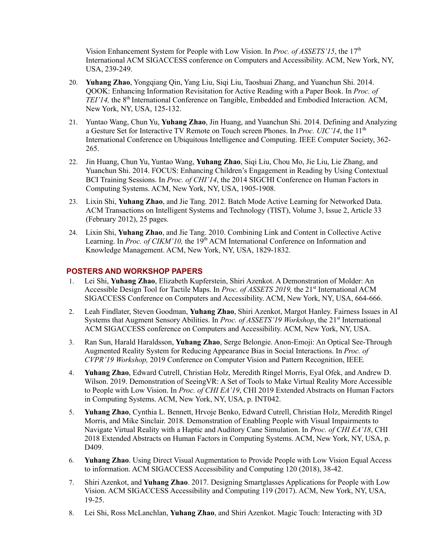Vision Enhancement System for People with Low Vision. In *Proc. of ASSETS'15*, the 17<sup>th</sup> International ACM SIGACCESS conference on Computers and Accessibility. ACM, New York, NY, USA, 239-249.

- 20. **Yuhang Zhao**, Yongqiang Qin, Yang Liu, Siqi Liu, Taoshuai Zhang, and Yuanchun Shi. 2014. QOOK: Enhancing Information Revisitation for Active Reading with a Paper Book. In *Proc. of TEI'14*, the 8<sup>th</sup> International Conference on Tangible, Embedded and Embodied Interaction. ACM, New York, NY, USA, 125-132.
- 21. Yuntao Wang, Chun Yu, **Yuhang Zhao**, Jin Huang, and Yuanchun Shi. 2014. Defining and Analyzing a Gesture Set for Interactive TV Remote on Touch screen Phones. In *Proc. UIC'14*, the 11<sup>th</sup> International Conference on Ubiquitous Intelligence and Computing. IEEE Computer Society, 362- 265.
- 22. Jin Huang, Chun Yu, Yuntao Wang, **Yuhang Zhao**, Siqi Liu, Chou Mo, Jie Liu, Lie Zhang, and Yuanchun Shi. 2014. FOCUS: Enhancing Children's Engagement in Reading by Using Contextual BCI Training Sessions. In *Proc. of CHI'14*, the 2014 SIGCHI Conference on Human Factors in Computing Systems. ACM, New York, NY, USA, 1905-1908.
- 23. Lixin Shi, **Yuhang Zhao**, and Jie Tang. 2012. Batch Mode Active Learning for Networked Data. ACM Transactions on Intelligent Systems and Technology (TIST), Volume 3, Issue 2, Article 33 (February 2012), 25 pages.
- 24. Lixin Shi, **Yuhang Zhao**, and Jie Tang. 2010. Combining Link and Content in Collective Active Learning. In *Proc. of CIKM'10*, the 19<sup>th</sup> ACM International Conference on Information and Knowledge Management. ACM, New York, NY, USA, 1829-1832.

## **POSTERS AND WORKSHOP PAPERS**

- 1. Lei Shi, **Yuhang Zhao**, Elizabeth Kupferstein, Shiri Azenkot. A Demonstration of Molder: An Accessible Design Tool for Tactile Maps. In *Proc. of ASSETS 2019*, the 21<sup>st</sup> International ACM SIGACCESS Conference on Computers and Accessibility. ACM, New York, NY, USA, 664-666.
- 2. Leah Findlater, Steven Goodman, **Yuhang Zhao**, Shiri Azenkot, Margot Hanley. Fairness Issues in AI Systems that Augment Sensory Abilities. In *Proc. of ASSETS'19 Workshop*, the 21<sup>st</sup> International ACM SIGACCESS conference on Computers and Accessibility. ACM, New York, NY, USA.
- 3. Ran Sun, Harald Haraldsson, **Yuhang Zhao**, Serge Belongie. Anon-Emoji: An Optical See-Through Augmented Reality System for Reducing Appearance Bias in Social Interactions. In *Proc. of CVPR'19 Workshop,* 2019 Conference on Computer Vision and Pattern Recognition, IEEE*.*
- 4. **Yuhang Zhao**, Edward Cutrell, Christian Holz, Meredith Ringel Morris, Eyal Ofek, and Andrew D. Wilson. 2019. Demonstration of SeeingVR: A Set of Tools to Make Virtual Reality More Accessible to People with Low Vision. In *Proc. of CHI EA'19*, CHI 2019 Extended Abstracts on Human Factors in Computing Systems. ACM, New York, NY, USA, p. INT042.
- 5. **Yuhang Zhao**, Cynthia L. Bennett, Hrvoje Benko, Edward Cutrell, Christian Holz, Meredith Ringel Morris, and Mike Sinclair. 2018. Demonstration of Enabling People with Visual Impairments to Navigate Virtual Reality with a Haptic and Auditory Cane Simulation. In *Proc. of CHI EA'18*, CHI 2018 Extended Abstracts on Human Factors in Computing Systems. ACM, New York, NY, USA, p. D409.
- 6. **Yuhang Zhao**. Using Direct Visual Augmentation to Provide People with Low Vision Equal Access to information. ACM SIGACCESS Accessibility and Computing 120 (2018), 38-42.
- 7. Shiri Azenkot, and **Yuhang Zhao**. 2017. Designing Smartglasses Applications for People with Low Vision. ACM SIGACCESS Accessibility and Computing 119 (2017). ACM, New York, NY, USA, 19-25.
- 8. Lei Shi, Ross McLanchlan, **Yuhang Zhao**, and Shiri Azenkot. Magic Touch: Interacting with 3D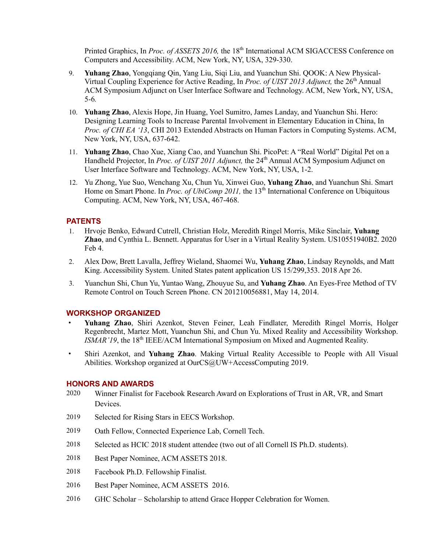Printed Graphics, In *Proc. of ASSETS 2016*, the 18<sup>th</sup> International ACM SIGACCESS Conference on Computers and Accessibility. ACM, New York, NY, USA, 329-330.

- 9. **Yuhang Zhao**, Yongqiang Qin, Yang Liu, Siqi Liu, and Yuanchun Shi. QOOK: A New Physical-Virtual Coupling Experience for Active Reading, In *Proc. of UIST 2013 Adjunct,* the 26th Annual ACM Symposium Adjunct on User Interface Software and Technology. ACM, New York, NY, USA, 5-6*.*
- 10. **Yuhang Zhao**, Alexis Hope, Jin Huang, Yoel Sumitro, James Landay, and Yuanchun Shi. Hero: Designing Learning Tools to Increase Parental Involvement in Elementary Education in China, In *Proc. of CHI EA '13*, CHI 2013 Extended Abstracts on Human Factors in Computing Systems. ACM, New York, NY, USA, 637-642.
- 11. **Yuhang Zhao**, Chao Xue, Xiang Cao, and Yuanchun Shi. PicoPet: A "Real World" Digital Pet on a Handheld Projector, In *Proc. of UIST 2011 Adjunct*, the 24<sup>th</sup> Annual ACM Symposium Adjunct on User Interface Software and Technology. ACM, New York, NY, USA, 1-2.
- 12. Yu Zhong, Yue Suo, Wenchang Xu, Chun Yu, Xinwei Guo, **Yuhang Zhao**, and Yuanchun Shi. Smart Home on Smart Phone. In *Proc. of UbiComp 2011*, the 13<sup>th</sup> International Conference on Ubiquitous Computing. ACM, New York, NY, USA, 467-468.

### **PATENTS**

- 1. Hrvoje Benko, Edward Cutrell, Christian Holz, Meredith Ringel Morris, Mike Sinclair, **Yuhang Zhao**, and Cynthia L. Bennett. Apparatus for User in a Virtual Reality System. US10551940B2. 2020 Feb 4.
- 2. Alex Dow, Brett Lavalla, Jeffrey Wieland, Shaomei Wu, **Yuhang Zhao**, Lindsay Reynolds, and Matt King. Accessibility System. United States patent application US 15/299,353. 2018 Apr 26.
- 3. Yuanchun Shi, Chun Yu, Yuntao Wang, Zhouyue Su, and **Yuhang Zhao**. An Eyes-Free Method of TV Remote Control on Touch Screen Phone. CN 201210056881, May 14, 2014.

#### **WORKSHOP ORGANIZED**

- · **Yuhang Zhao**, Shiri Azenkot, Steven Feiner, Leah Findlater, Meredith Ringel Morris, Holger Regenbrecht, Martez Mott, Yuanchun Shi, and Chun Yu. Mixed Reality and Accessibility Workshop. *ISMAR'19*, the 18<sup>th</sup> IEEE/ACM International Symposium on Mixed and Augmented Reality.
- · Shiri Azenkot, and **Yuhang Zhao**. Making Virtual Reality Accessible to People with All Visual Abilities. Workshop organized at OurCS@UW+AccessComputing 2019.

#### **HONORS AND AWARDS**

- 2020 Winner Finalist for Facebook Research Award on Explorations of Trust in AR, VR, and Smart Devices.
- 2019 Selected for Rising Stars in EECS Workshop.
- 2019 Oath Fellow, Connected Experience Lab, Cornell Tech.
- 2018 Selected as HCIC 2018 student attendee (two out of all Cornell IS Ph.D. students).
- 2018 Best Paper Nominee, ACM ASSETS 2018.
- 2018 Facebook Ph.D. Fellowship Finalist.
- 2016 Best Paper Nominee, ACM ASSETS 2016.
- 2016 GHC Scholar Scholarship to attend Grace Hopper Celebration for Women.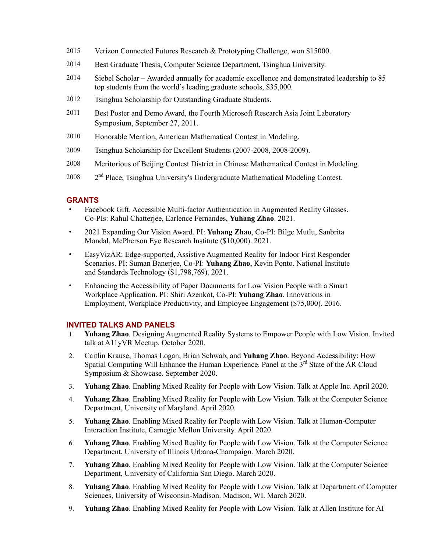- 2015 Verizon Connected Futures Research & Prototyping Challenge, won \$15000.
- 2014 Best Graduate Thesis, Computer Science Department, Tsinghua University.
- 2014 Siebel Scholar Awarded annually for academic excellence and demonstrated leadership to 85 top students from the world's leading graduate schools, \$35,000.
- 2012 Tsinghua Scholarship for Outstanding Graduate Students.
- 2011 Best Poster and Demo Award, the Fourth Microsoft Research Asia Joint Laboratory Symposium, September 27, 2011.
- 2010 Honorable Mention, American Mathematical Contest in Modeling.
- 2009 Tsinghua Scholarship for Excellent Students (2007-2008, 2008-2009).
- 2008 Meritorious of Beijing Contest District in Chinese Mathematical Contest in Modeling.
- 2008 2nd Place, Tsinghua University's Undergraduate Mathematical Modeling Contest.

#### **GRANTS**

- Facebook Gift. Accessible Multi-factor Authentication in Augmented Reality Glasses. Co-PIs: Rahul Chatterjee, Earlence Fernandes, **Yuhang Zhao**. 2021.
- · 2021 Expanding Our Vision Award. PI: **Yuhang Zhao**, Co-PI: Bilge Mutlu, Sanbrita Mondal, McPherson Eye Research Institute (\$10,000). 2021.
- · EasyVizAR: Edge-supported, Assistive Augmented Reality for Indoor First Responder Scenarios. PI: Suman Banerjee, Co-PI: **Yuhang Zhao**, Kevin Ponto. National Institute and Standards Technology (\$1,798,769). 2021.
- · Enhancing the Accessibility of Paper Documents for Low Vision People with a Smart Workplace Application. PI: Shiri Azenkot, Co-PI: **Yuhang Zhao**. Innovations in Employment, Workplace Productivity, and Employee Engagement (\$75,000). 2016.

#### **INVITED TALKS AND PANELS**

- 1. **Yuhang Zhao**. Designing Augmented Reality Systems to Empower People with Low Vision. Invited talk at A11yVR Meetup. October 2020.
- 2. Caitlin Krause, Thomas Logan, Brian Schwab, and **Yuhang Zhao**. Beyond Accessibility: How Spatial Computing Will Enhance the Human Experience. Panel at the 3<sup>rd</sup> State of the AR Cloud Symposium & Showcase. September 2020.
- 3. **Yuhang Zhao**. Enabling Mixed Reality for People with Low Vision. Talk at Apple Inc. April 2020.
- 4. **Yuhang Zhao**. Enabling Mixed Reality for People with Low Vision. Talk at the Computer Science Department, University of Maryland. April 2020.
- 5. **Yuhang Zhao**. Enabling Mixed Reality for People with Low Vision. Talk at Human-Computer Interaction Institute, Carnegie Mellon University. April 2020.
- 6. **Yuhang Zhao**. Enabling Mixed Reality for People with Low Vision. Talk at the Computer Science Department, University of Illinois Urbana-Champaign. March 2020.
- 7. **Yuhang Zhao**. Enabling Mixed Reality for People with Low Vision. Talk at the Computer Science Department, University of California San Diego. March 2020.
- 8. **Yuhang Zhao**. Enabling Mixed Reality for People with Low Vision. Talk at Department of Computer Sciences, University of Wisconsin-Madison. Madison, WI. March 2020.
- 9. **Yuhang Zhao**. Enabling Mixed Reality for People with Low Vision. Talk at Allen Institute for AI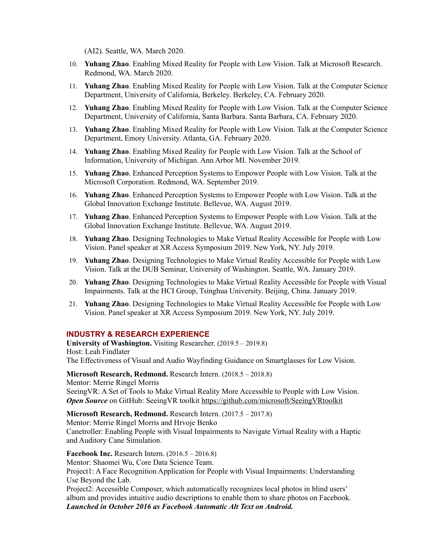(AI2). Seattle, WA. March 2020.

- 10. **Yuhang Zhao**. Enabling Mixed Reality for People with Low Vision. Talk at Microsoft Research. Redmond, WA. March 2020.
- 11. **Yuhang Zhao**. Enabling Mixed Reality for People with Low Vision. Talk at the Computer Science Department, University of California, Berkeley. Berkeley, CA. February 2020.
- 12. **Yuhang Zhao**. Enabling Mixed Reality for People with Low Vision. Talk at the Computer Science Department, University of California, Santa Barbara. Santa Barbara, CA. February 2020.
- 13. **Yuhang Zhao**. Enabling Mixed Reality for People with Low Vision. Talk at the Computer Science Department, Emory University. Atlanta, GA. February 2020.
- 14. **Yuhang Zhao**. Enabling Mixed Reality for People with Low Vision. Talk at the School of Information, University of Michigan. Ann Arbor MI. November 2019.
- 15. **Yuhang Zhao**. Enhanced Perception Systems to Empower People with Low Vision. Talk at the Microsoft Corporation. Redmond, WA. September 2019.
- 16. **Yuhang Zhao**. Enhanced Perception Systems to Empower People with Low Vision. Talk at the Global Innovation Exchange Institute. Bellevue, WA. August 2019.
- 17. **Yuhang Zhao**. Enhanced Perception Systems to Empower People with Low Vision. Talk at the Global Innovation Exchange Institute. Bellevue, WA. August 2019.
- 18. **Yuhang Zhao**. Designing Technologies to Make Virtual Reality Accessible for People with Low Vision. Panel speaker at XR Access Symposium 2019. New York, NY. July 2019.
- 19. **Yuhang Zhao**. Designing Technologies to Make Virtual Reality Accessible for People with Low Vision. Talk at the DUB Seminar, University of Washington. Seattle, WA. January 2019.
- 20. **Yuhang Zhao**. Designing Technologies to Make Virtual Reality Accessible for People with Visual Impairments. Talk at the HCI Group, Tsinghua University. Beijing, China. January 2019.
- 21. **Yuhang Zhao**. Designing Technologies to Make Virtual Reality Accessible for People with Low Vision. Panel speaker at XR Access Symposium 2019. New York, NY. July 2019.

#### **INDUSTRY & RESEARCH EXPERIENCE**

**University of Washington.** Visiting Researcher. (2019.5 – 2019.8) Host: Leah Findlater The Effectiveness of Visual and Audio Wayfinding Guidance on Smartglasses for Low Vision.

**Microsoft Research, Redmond.** Research Intern. (2018.5 – 2018.8) Mentor: Merrie Ringel Morris SeeingVR: A Set of Tools to Make Virtual Reality More Accessible to People with Low Vision. *Open Source* on GitHub: SeeingVR toolkit https://github.com/microsoft/SeeingVRtoolkit

**Microsoft Research, Redmond.** Research Intern. (2017.5 – 2017.8) Mentor: Merrie Ringel Morris and Hrvoje Benko Canetroller: Enabling People with Visual Impairments to Navigate Virtual Reality with a Haptic and Auditory Cane Simulation.

**Facebook Inc.** Research Intern. (2016.5 – 2016.8)

Mentor: Shaomei Wu, Core Data Science Team.

Project1: A Face Recognition Application for People with Visual Impairments: Understanding Use Beyond the Lab.

Project2: Accessible Composer, which automatically recognizes local photos in blind users' album and provides intuitive audio descriptions to enable them to share photos on Facebook. *Launched in October 2016 as Facebook Automatic Alt Text on Android.*